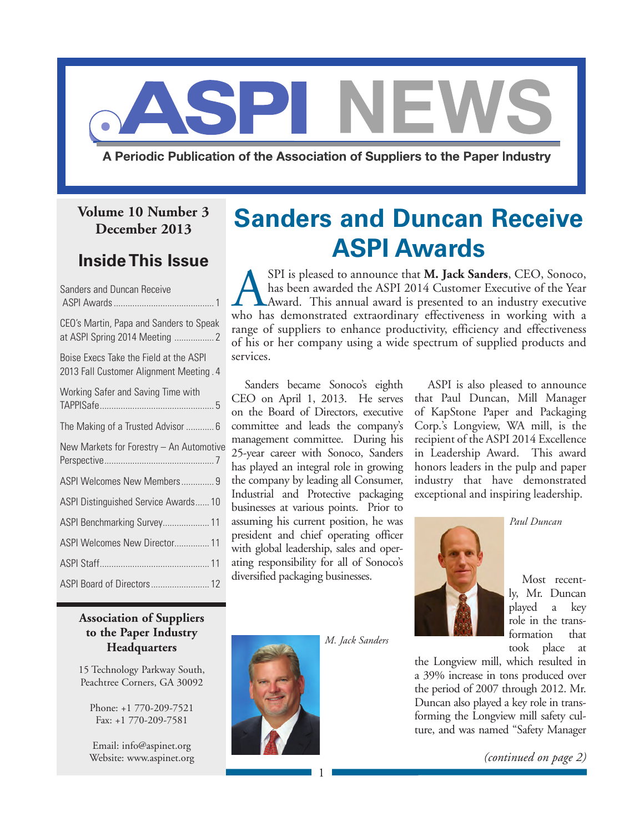

A Periodic Publication of the Association of Suppliers to the Paper Industry

### **Volume 10 Number 3 December 2013**

### **Inside This Issue**

| Sanders and Duncan Receive                                                        |
|-----------------------------------------------------------------------------------|
| CEO's Martin, Papa and Sanders to Speak<br>at ASPI Spring 2014 Meeting  2         |
| Boise Execs Take the Field at the ASPI<br>2013 Fall Customer Alignment Meeting. 4 |
| Working Safer and Saving Time with                                                |
| The Making of a Trusted Advisor  6                                                |
|                                                                                   |
| New Markets for Forestry - An Automotive                                          |
| ASPI Welcomes New Members 9                                                       |
| ASPI Distinguished Service Awards 10                                              |
| ASPI Benchmarking Survey 11                                                       |
| ASPI Welcomes New Director 11                                                     |
|                                                                                   |

### **Association of Suppliers to the Paper Industry Headquarters**

15 Technology Parkway South, Peachtree Corners, GA 30092

Phone: +1 770-209-7521 Fax: +1 770-209-7581

Email: [info@aspinet.org](mailto:info@aspinet.org) Website: [www.aspinet.org](http://www.aspinet.org)

# **Sanders and Duncan Receive ASPI Awards**

ASPI is pleased to announce that **M. Jack Sanders**, CEO, Sonoco, has been awarded the ASPI 2014 Customer Executive of the Year Award. This annual award is presented to an industry executive who has demonstrated extraordinary effectiveness in working with a range of suppliers to enhance productivity, efficiency and effectiveness of his or her company using a wide spectrum of supplied products and services.

Sanders became Sonoco's eighth CEO on April 1, 2013. He serves on the Board of Directors, executive committee and leads the company's management committee. During his 25-year career with Sonoco, Sanders has played an integral role in growing the company by leading all Consumer, Industrial and Protective packaging businesses at various points. Prior to assuming his current position, he was president and chief operating officer with global leadership, sales and operating responsibility for all of Sonoco's diversified packaging businesses.

ASPI is also pleased to announce that Paul Duncan, Mill Manager of KapStone Paper and Packaging Corp.'s Longview, WA mill, is the recipient of the ASPI 2014 Excellence in Leadership Award. This award honors leaders in the pulp and paper industry that have demonstrated exceptional and inspiring leadership.



Most recently, Mr. Duncan played a key role in the transformation that took place at

the Longview mill, which resulted in a 39% increase in tons produced over the period of 2007 through 2012. Mr. Duncan also played a key role in transforming the Longview mill safety culture, and was named "Safety Manager

*(continued on page 2)*



*M. Jack Sanders*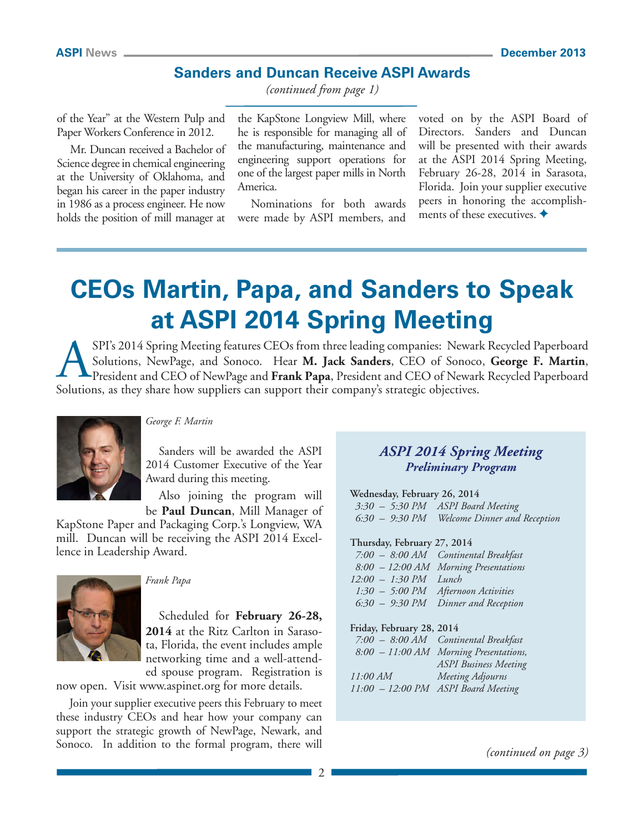### **Sanders and Duncan Receive ASPI Awards**

*(continued from page 1)*

of the Year" at the Western Pulp and Paper Workers Conference in 2012.

Mr. Duncan received a Bachelor of Science degree in chemical engineering at the University of Oklahoma, and began his career in the paper industry in 1986 as a process engineer. He now holds the position of mill manager at

the KapStone Longview Mill, where he is responsible for managing all of the manufacturing, maintenance and engineering support operations for one of the largest paper mills in North America.

Nominations for both awards were made by ASPI members, and

voted on by the ASPI Board of Directors. Sanders and Duncan will be presented with their awards at the ASPI 2014 Spring Meeting, February 26-28, 2014 in Sarasota, Florida. Join your supplier executive peers in honoring the accomplishments of these executives.  $\blacklozenge$ 

# **CEOs Martin, Papa, and Sanders to Speak at ASPI 2014 Spring Meeting**

SPI's 2014 Spring Meeting features CEOs from three leading companies: Newark Recycled Paperboard Solutions, NewPage, and Sonoco. Hear **M. Jack Sanders**, CEO of Sonoco, **George F. Martin**, President and CEO of NewPage and **Frank Papa**, President and CEO of Newark Recycled Paperboard Solutions, as they share how suppliers can support their company's strategic objectives.



### *George F. Martin*

Sanders will be awarded the ASPI 2014 Customer Executive of the Year Award during this meeting.

Also joining the program will be **Paul Duncan**, Mill Manager of

KapStone Paper and Packaging Corp.'s Longview, WA mill. Duncan will be receiving the ASPI 2014 Excellence in Leadership Award.



*Frank Papa*

Scheduled for **February 26-28, 2014** at the Ritz Carlton in Sarasota, Florida, the event includes ample networking time and a well-attended spouse program. Registration is

now open. Visit [www.aspinet.org fo](http://www.aspinet.org)r more details.

Join your supplier executive peers this February to meet these industry CEOs and hear how your company can support the strategic growth of NewPage, Newark, and Sonoco. In addition to the formal program, there will

### *ASPI 2014 Spring Meeting Preliminary Program*

**Wednesday, February 26, 2014**

*3:30 – 5:30 PM ASPI Board Meeting 6:30 – 9:30 PM Welcome Dinner and Reception*

#### **Thursday, February 27, 2014**

|                         | 7:00 - 8:00 AM Continental Breakfast  |
|-------------------------|---------------------------------------|
|                         | 8:00 - 12:00 AM Morning Presentations |
| $12:00 - 1:30 PM$ Lunch |                                       |
|                         | 1:30 - 5:00 PM Afternoon Activities   |
|                         | 6:30 - 9:30 PM Dinner and Reception   |

#### **Friday, February 28, 2014**

|          | 7:00 - 8:00 AM Continental Breakfast   |
|----------|----------------------------------------|
|          | 8:00 - 11:00 AM Morning Presentations, |
|          | <b>ASPI</b> Business Meeting           |
| 11:00 AM | Meeting Adjourns                       |
|          | 11:00 - 12:00 PM ASPI Board Meeting    |

*(continued on page 3)*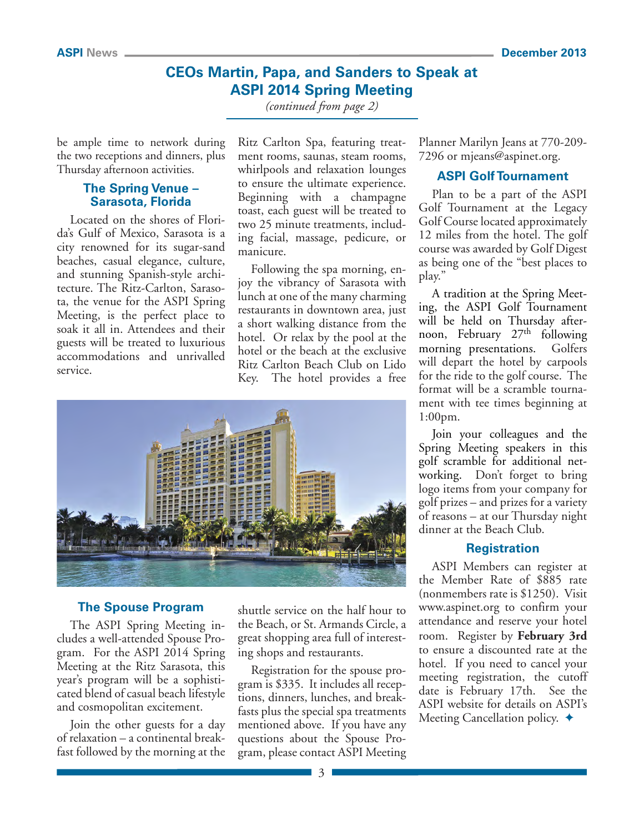### **CEOs Martin, Papa, and Sanders to Speak at ASPI 2014 Spring Meeting**

*(continued from page 2)*

be ample time to network during the two receptions and dinners, plus Thursday afternoon activities.

### **The Spring Venue – Sarasota, Florida**

Located on the shores of Florida's Gulf of Mexico, Sarasota is a city renowned for its sugar-sand beaches, casual elegance, culture, and stunning Spanish-style architecture. The Ritz-Carlton, Sarasota, the venue for the ASPI Spring Meeting, is the perfect place to soak it all in. Attendees and their guests will be treated to luxurious accommodations and unrivalled service.

Ritz Carlton Spa, featuring treatment rooms, saunas, steam rooms, whirlpools and relaxation lounges to ensure the ultimate experience. Beginning with a champagne toast, each guest will be treated to two 25 minute treatments, including facial, massage, pedicure, or manicure.

Following the spa morning, enjoy the vibrancy of Sarasota with lunch at one of the many charming restaurants in downtown area, just a short walking distance from the hotel. Or relax by the pool at the hotel or the beach at the exclusive Ritz Carlton Beach Club on Lido Key. The hotel provides a free



### **The Spouse Program**

The ASPI Spring Meeting includes a well-attended Spouse Program. For the ASPI 2014 Spring Meeting at the Ritz Sarasota, this year's program will be a sophisticated blend of casual beach lifestyle and cosmopolitan excitement.

Join the other guests for a day of relaxation – a continental breakfast followed by the morning at the

shuttle service on the half hour to the Beach, or St. Armands Circle, a great shopping area full of interesting shops and restaurants.

Registration for the spouse program is \$335. It includes all receptions, dinners, lunches, and breakfasts plus the special spa treatments mentioned above. If you have any questions about the Spouse Program, please contact ASPI Meeting Planner Marilyn Jeans at 770-209- 7296 or [mjeans@aspinet.org.](mailto:mjeans@aspinet.org) 

### **ASPI Golf Tournament**

Plan to be a part of the ASPI Golf Tournament at the Legacy Golf Course located approximately 12 miles from the hotel. The golf course was awarded by Golf Digest as being one of the "best places to play."

A tradition at the Spring Meeting, the ASPI Golf Tournament will be held on Thursday afternoon, February  $27<sup>th</sup>$  following morning presentations. Golfers will depart the hotel by carpools for the ride to the golf course. The format will be a scramble tournament with tee times beginning at 1:00pm.

Join your colleagues and the Spring Meeting speakers in this golf scramble for additional networking. Don't forget to bring logo items from your company for golf prizes – and prizes for a variety of reasons – at our Thursday night dinner at the Beach Club.

### **Registration**

ASPI Members can register at the Member Rate of \$885 rate (nonmembers rate is \$1250). Visit [www.aspinet.org to](http://www.aspinet.org) confirm your attendance and reserve your hotel room. Register by **February 3rd**  to ensure a discounted rate at the hotel. If you need to cancel your meeting registration, the cutoff date is February 17th. See the ASPI website for details on ASPI's Meeting Cancellation policy.  $\triangleleft$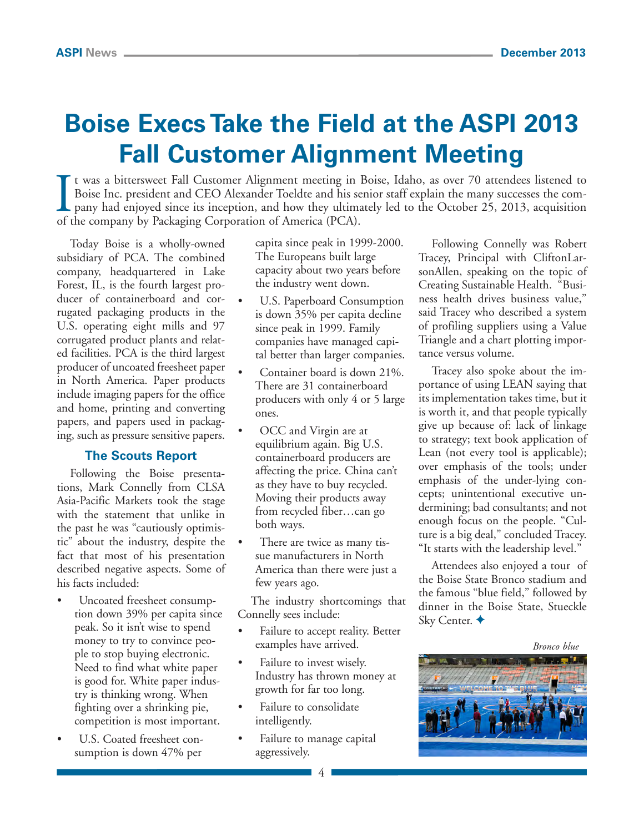# **Boise Execs Take the Field at the ASPI 2013 Fall Customer Alignment Meeting**

It was a bittersweet Fall Customer Alignment meeting in I<br>Boise Inc. president and CEO Alexander Toeldte and his see<br>pany had enjoyed since its inception, and how they ultima<br>of the company by Packaging Corporation of Amer t was a bittersweet Fall Customer Alignment meeting in Boise, Idaho, as over 70 attendees listened to Boise Inc. president and CEO Alexander Toeldte and his senior staff explain the many successes the company had enjoyed since its inception, and how they ultimately led to the October 25, 2013, acquisition

Today Boise is a wholly-owned subsidiary of PCA. The combined company, headquartered in Lake Forest, IL, is the fourth largest producer of containerboard and corrugated packaging products in the U.S. operating eight mills and 97 corrugated product plants and related facilities. PCA is the third largest producer of uncoated freesheet paper in North America. Paper products include imaging papers for the office and home, printing and converting papers, and papers used in packaging, such as pressure sensitive papers.

### **The Scouts Report**

Following the Boise presentations, Mark Connelly from CLSA Asia-Pacific Markets took the stage with the statement that unlike in the past he was "cautiously optimistic" about the industry, despite the fact that most of his presentation described negative aspects. Some of his facts included:

- Uncoated freesheet consumption down 39% per capita since peak. So it isn't wise to spend money to try to convince people to stop buying electronic. Need to find what white paper is good for. White paper industry is thinking wrong. When fighting over a shrinking pie, competition is most important.
- U.S. Coated freesheet consumption is down 47% per

capita since peak in 1999-2000. The Europeans built large capacity about two years before the industry went down.

- U.S. Paperboard Consumption is down 35% per capita decline since peak in 1999. Family companies have managed capital better than larger companies.
- Container board is down 21%. There are 31 containerboard producers with only 4 or 5 large ones.
- OCC and Virgin are at equilibrium again. Big U.S. containerboard producers are affecting the price. China can't as they have to buy recycled. Moving their products away from recycled fiber…can go both ways.
- There are twice as many tissue manufacturers in North America than there were just a few years ago.

The industry shortcomings that Connelly sees include:

- Failure to accept reality. Better examples have arrived.
- Failure to invest wisely. Industry has thrown money at growth for far too long.
- Failure to consolidate intelligently.
- Failure to manage capital aggressively.

Following Connelly was Robert Tracey, Principal with CliftonLarsonAllen, speaking on the topic of Creating Sustainable Health. "Business health drives business value," said Tracey who described a system of profiling suppliers using a Value Triangle and a chart plotting importance versus volume.

Tracey also spoke about the importance of using LEAN saying that its implementation takes time, but it is worth it, and that people typically give up because of: lack of linkage to strategy; text book application of Lean (not every tool is applicable); over emphasis of the tools; under emphasis of the under-lying concepts; unintentional executive undermining; bad consultants; and not enough focus on the people. "Culture is a big deal," concluded Tracey. "It starts with the leadership level."

Attendees also enjoyed a tour of the Boise State Bronco stadium and the famous "blue field," followed by dinner in the Boise State, Stueckle Sky Center. ◆



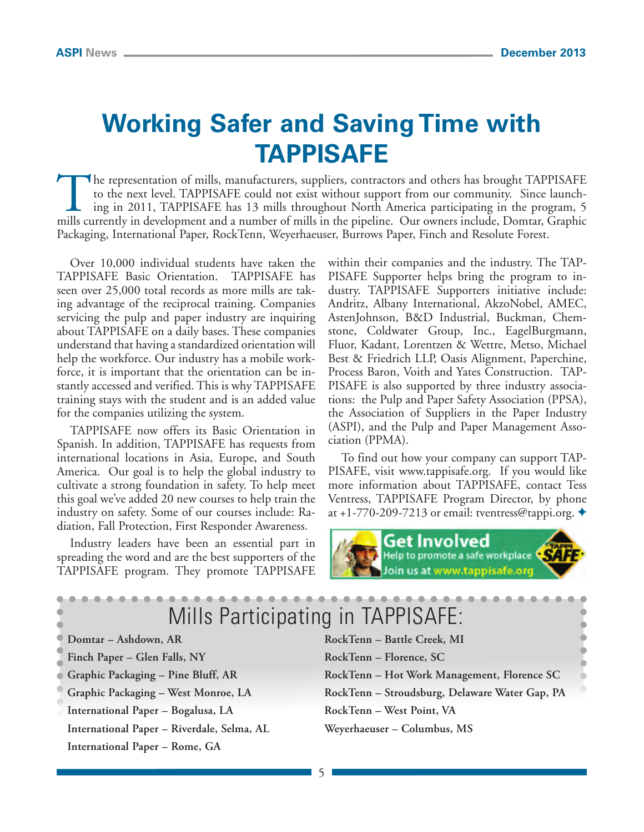# **Working Safer and Saving Time with TAPPISAFE**

The representation of mills, manufacturers, suppliers, contractors and others has brought TAPPISAFE<br>to the next level. TAPPISAFE could not exist without support from our community. Since launch-<br>ing in 2011, TAPPISAFE has to the next level. TAPPISAFE could not exist without support from our community. Since launching in 2011, TAPPISAFE has 13 mills throughout North America participating in the program, 5 mills currently in development and a number of mills in the pipeline. Our owners include, Domtar, Graphic Packaging, International Paper, RockTenn, Weyerhaeuser, Burrows Paper, Finch and Resolute Forest.

Over 10,000 individual students have taken the TAPPISAFE Basic Orientation. TAPPISAFE has seen over 25,000 total records as more mills are taking advantage of the reciprocal training. Companies servicing the pulp and paper industry are inquiring about TAPPISAFE on a daily bases. These companies understand that having a standardized orientation will help the workforce. Our industry has a mobile workforce, it is important that the orientation can be instantly accessed and verified. This is why TAPPISAFE training stays with the student and is an added value for the companies utilizing the system.

TAPPISAFE now offers its Basic Orientation in Spanish. In addition, TAPPISAFE has requests from international locations in Asia, Europe, and South America. Our goal is to help the global industry to cultivate a strong foundation in safety. To help meet this goal we've added 20 new courses to help train the industry on safety. Some of our courses include: Radiation, Fall Protection, First Responder Awareness.

Industry leaders have been an essential part in spreading the word and are the best supporters of the TAPPISAFE program. They promote TAPPISAFE within their companies and the industry. The TAP-PISAFE Supporter helps bring the program to industry. TAPPISAFE Supporters initiative include: Andritz, Albany International, AkzoNobel, AMEC, AstenJohnson, B&D Industrial, Buckman, Chemstone, Coldwater Group, Inc., EagelBurgmann, Fluor, Kadant, Lorentzen & Wettre, Metso, Michael Best & Friedrich LLP, Oasis Alignment, Paperchine, Process Baron, Voith and Yates Construction. TAP-PISAFE is also supported by three industry associations: the Pulp and Paper Safety Association (PPSA), the Association of Suppliers in the Paper Industry (ASPI), and the Pulp and Paper Management Association (PPMA).

To find out how your company can support TAP-PISAFE, visit [www.tappisafe.org. I](http://www.tappisafe.org)f you would like more information about TAPPISAFE, contact Tess Ventress, TAPPISAFE Program Director, by phone at +1-770-209-7213 or email: [tventress@tappi.org.](mailto:tventress@tappi.org)  $\triangleleft$ 



| Mills Participating in TAPPISAFE:          |                                                |  |  |
|--------------------------------------------|------------------------------------------------|--|--|
| Domtar - Ashdown, AR                       | RockTenn - Battle Creek, MI                    |  |  |
| Finch Paper - Glen Falls, NY               | RockTenn – Florence, SC                        |  |  |
| Graphic Packaging - Pine Bluff, AR         | RockTenn - Hot Work Management, Florence SC    |  |  |
| Graphic Packaging - West Monroe, LA        | RockTenn - Stroudsburg, Delaware Water Gap, PA |  |  |
| International Paper - Bogalusa, LA         | RockTenn - West Point, VA                      |  |  |
| International Paper - Riverdale, Selma, AL | Weyerhaeuser - Columbus, MS                    |  |  |
| International Paper - Rome, GA             |                                                |  |  |
|                                            |                                                |  |  |

5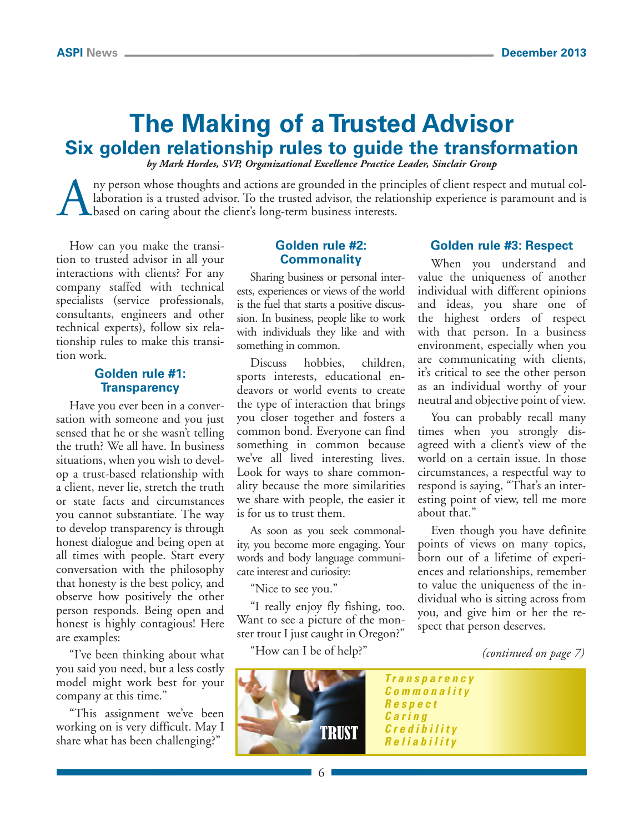## **The Making of a Trusted Advisor Six golden relationship rules to guide the transformation**

*by Mark Hordes, SVP, Organizational Excellence Practice Leader, Sinclair Group*

ny person whose thoughts and actions are grounded in the principles of client respect and mutual collaboration is a trusted advisor. To the trusted advisor, the relationship experience is paramount and is based on caring about the client's long-term business interests.

How can you make the transition to trusted advisor in all your interactions with clients? For any company staffed with technical specialists (service professionals, consultants, engineers and other technical experts), follow six relationship rules to make this transition work.

### **Golden rule #1: Transparency**

Have you ever been in a conversation with someone and you just sensed that he or she wasn't telling the truth? We all have. In business situations, when you wish to develop a trust-based relationship with a client, never lie, stretch the truth or state facts and circumstances you cannot substantiate. The way to develop transparency is through honest dialogue and being open at all times with people. Start every conversation with the philosophy that honesty is the best policy, and observe how positively the other person responds. Being open and honest is highly contagious! Here are examples:

"I've been thinking about what you said you need, but a less costly model might work best for your company at this time."

"This assignment we've been working on is very difficult. May I share what has been challenging?"

### **Golden rule #2: Commonality**

Sharing business or personal interests, experiences or views of the world is the fuel that starts a positive discussion. In business, people like to work with individuals they like and with something in common.

Discuss hobbies, children, sports interests, educational endeavors or world events to create the type of interaction that brings you closer together and fosters a common bond. Everyone can find something in common because we've all lived interesting lives. Look for ways to share commonality because the more similarities we share with people, the easier it is for us to trust them.

As soon as you seek commonality, you become more engaging. Your words and body language communicate interest and curiosity:

"Nice to see you."

"I really enjoy fly fishing, too. Want to see a picture of the monster trout I just caught in Oregon?"

"How can I be of help?"



### **Golden rule #3: Respect**

When you understand and value the uniqueness of another individual with different opinions and ideas, you share one of the highest orders of respect with that person. In a business environment, especially when you are communicating with clients, it's critical to see the other person as an individual worthy of your neutral and objective point of view.

You can probably recall many times when you strongly disagreed with a client's view of the world on a certain issue. In those circumstances, a respectful way to respond is saying, "That's an interesting point of view, tell me more about that."

Even though you have definite points of views on many topics, born out of a lifetime of experiences and relationships, remember to value the uniqueness of the individual who is sitting across from you, and give him or her the respect that person deserves.

*(continued on page 7)*

*Transparency Commonality Respect Caring Credibility Reliability* TRUST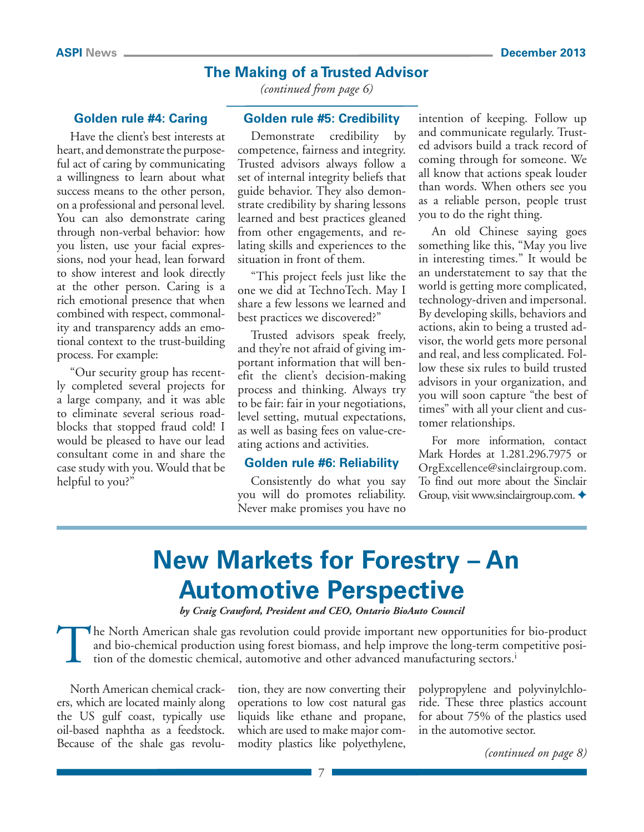### **The Making of a Trusted Advisor**

**Golden rule #4: Caring**

Have the client's best interests at heart, and demonstrate the purposeful act of caring by communicating a willingness to learn about what success means to the other person, on a professional and personal level. You can also demonstrate caring through non-verbal behavior: how you listen, use your facial expressions, nod your head, lean forward to show interest and look directly at the other person. Caring is a rich emotional presence that when combined with respect, commonality and transparency adds an emotional context to the trust-building process. For example:

"Our security group has recently completed several projects for a large company, and it was able to eliminate several serious roadblocks that stopped fraud cold! I would be pleased to have our lead consultant come in and share the case study with you. Would that be helpful to you?"

*(continued from page 6)*

### **Golden rule #5: Credibility**

Demonstrate credibility by competence, fairness and integrity. Trusted advisors always follow a set of internal integrity beliefs that guide behavior. They also demonstrate credibility by sharing lessons learned and best practices gleaned from other engagements, and relating skills and experiences to the situation in front of them.

"This project feels just like the one we did at TechnoTech. May I share a few lessons we learned and best practices we discovered?"

Trusted advisors speak freely, and they're not afraid of giving important information that will benefit the client's decision-making process and thinking. Always try to be fair: fair in your negotiations, level setting, mutual expectations, as well as basing fees on value-creating actions and activities.

### **Golden rule #6: Reliability**

Consistently do what you say you will do promotes reliability. Never make promises you have no

intention of keeping. Follow up and communicate regularly. Trusted advisors build a track record of coming through for someone. We all know that actions speak louder than words. When others see you as a reliable person, people trust you to do the right thing.

An old Chinese saying goes something like this, "May you live in interesting times." It would be an understatement to say that the world is getting more complicated, technology-driven and impersonal. By developing skills, behaviors and actions, akin to being a trusted advisor, the world gets more personal and real, and less complicated. Follow these six rules to build trusted advisors in your organization, and you will soon capture "the best of times" with all your client and customer relationships.

For more information, contact Mark Hordes at 1.281.296.7975 or [OrgExcellence@sinclairgroup.com.](mailto:OrgExcellence@sinclairgroup.com)  To find out more about the Sinclair Group, visit www.sinclairgroup.com.

# **New Markets for Forestry – An Automotive Perspective**

*by Craig Crawford, President and CEO, Ontario BioAuto Council*

The North American shale gas revolution could provide important new opportunities for bio-product and bio-chemical production using forest biomass, and help improve the long-term competitive position of the domestic chemical, automotive and other advanced manufacturing sectors.i

North American chemical crackers, which are located mainly along the US gulf coast, typically use oil-based naphtha as a feedstock. Because of the shale gas revolu-

tion, they are now converting their operations to low cost natural gas liquids like ethane and propane, which are used to make major commodity plastics like polyethylene,

polypropylene and polyvinylchloride. These three plastics account for about 75% of the plastics used in the automotive sector.

*(continued on page 8)*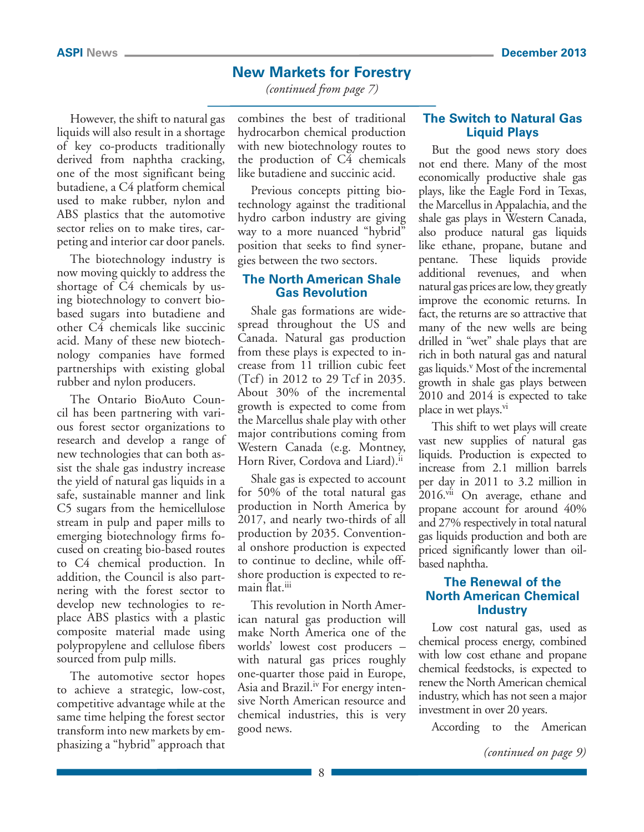### **New Markets for Forestry**

*(continued from page 7)*

However, the shift to natural gas liquids will also result in a shortage of key co-products traditionally derived from naphtha cracking, one of the most significant being butadiene, a C4 platform chemical used to make rubber, nylon and ABS plastics that the automotive sector relies on to make tires, carpeting and interior car door panels.

The biotechnology industry is now moving quickly to address the shortage of C4 chemicals by using biotechnology to convert biobased sugars into butadiene and other C4 chemicals like succinic acid. Many of these new biotechnology companies have formed partnerships with existing global rubber and nylon producers.

The Ontario BioAuto Council has been partnering with various forest sector organizations to research and develop a range of new technologies that can both assist the shale gas industry increase the yield of natural gas liquids in a safe, sustainable manner and link C5 sugars from the hemicellulose stream in pulp and paper mills to emerging biotechnology firms focused on creating bio-based routes to C4 chemical production. In addition, the Council is also partnering with the forest sector to develop new technologies to replace ABS plastics with a plastic composite material made using polypropylene and cellulose fibers sourced from pulp mills.

The automotive sector hopes to achieve a strategic, low-cost, competitive advantage while at the same time helping the forest sector transform into new markets by emphasizing a "hybrid" approach that

combines the best of traditional hydrocarbon chemical production with new biotechnology routes to the production of C4 chemicals like butadiene and succinic acid.

Previous concepts pitting biotechnology against the traditional hydro carbon industry are giving way to a more nuanced "hybrid" position that seeks to find synergies between the two sectors.

### **The North American Shale Gas Revolution**

Shale gas formations are widespread throughout the US and Canada. Natural gas production from these plays is expected to increase from 11 trillion cubic feet (Tcf) in 2012 to 29 Tcf in 2035. About 30% of the incremental growth is expected to come from the Marcellus shale play with other major contributions coming from Western Canada (e.g. Montney, Horn River, Cordova and Liard).<sup>ii</sup>

Shale gas is expected to account for 50% of the total natural gas production in North America by 2017, and nearly two-thirds of all production by 2035. Conventional onshore production is expected to continue to decline, while offshore production is expected to remain flat.<sup>iii</sup>

This revolution in North American natural gas production will make North America one of the worlds' lowest cost producers – with natural gas prices roughly one-quarter those paid in Europe, Asia and Brazil.<sup>iv</sup> For energy intensive North American resource and chemical industries, this is very good news.

### **The Switch to Natural Gas Liquid Plays**

But the good news story does not end there. Many of the most economically productive shale gas plays, like the Eagle Ford in Texas, the Marcellus in Appalachia, and the shale gas plays in Western Canada, also produce natural gas liquids like ethane, propane, butane and pentane. These liquids provide additional revenues, and when natural gas prices are low, they greatly improve the economic returns. In fact, the returns are so attractive that many of the new wells are being drilled in "wet" shale plays that are rich in both natural gas and natural gas liquids.<sup>v</sup> Most of the incremental growth in shale gas plays between 2010 and 2014 is expected to take place in wet plays.<sup>vi</sup>

This shift to wet plays will create vast new supplies of natural gas liquids. Production is expected to increase from 2.1 million barrels per day in 2011 to 3.2 million in 2016.<sup>vii</sup> On average, ethane and propane account for around 40% and 27% respectively in total natural gas liquids production and both are priced significantly lower than oilbased naphtha.

### **The Renewal of the North American Chemical Industry**

Low cost natural gas, used as chemical process energy, combined with low cost ethane and propane chemical feedstocks, is expected to renew the North American chemical industry, which has not seen a major investment in over 20 years.

According to the American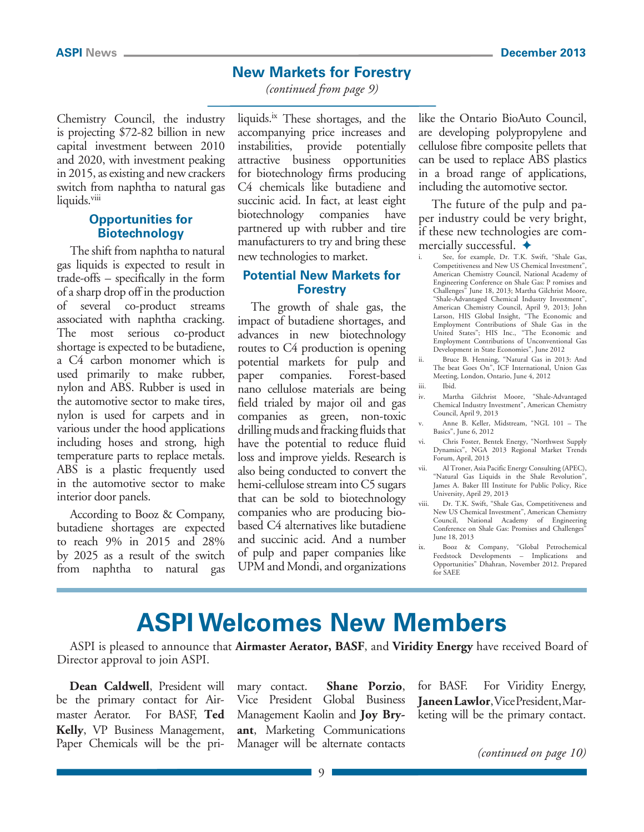### **New Markets for Forestry**

*(continued from page 9)*

Chemistry Council, the industry is projecting \$72-82 billion in new capital investment between 2010 and 2020, with investment peaking in 2015, as existing and new crackers switch from naphtha to natural gas liquids.viii

### **Opportunities for Biotechnology**

The shift from naphtha to natural gas liquids is expected to result in trade-offs – specifically in the form of a sharp drop off in the production of several co-product streams associated with naphtha cracking. The most serious co-product shortage is expected to be butadiene, a C4 carbon monomer which is used primarily to make rubber, nylon and ABS. Rubber is used in the automotive sector to make tires, nylon is used for carpets and in various under the hood applications including hoses and strong, high temperature parts to replace metals. ABS is a plastic frequently used in the automotive sector to make interior door panels.

According to Booz & Company, butadiene shortages are expected to reach 9% in 2015 and 28% by 2025 as a result of the switch from naphtha to natural gas liquids.<sup>ix</sup> These shortages, and the accompanying price increases and instabilities, provide potentially attractive business opportunities for biotechnology firms producing C4 chemicals like butadiene and succinic acid. In fact, at least eight biotechnology companies have partnered up with rubber and tire manufacturers to try and bring these new technologies to market.

### **Potential New Markets for Forestry**

The growth of shale gas, the impact of butadiene shortages, and advances in new biotechnology routes to C4 production is opening potential markets for pulp and paper companies. Forest-based nano cellulose materials are being field trialed by major oil and gas companies as green, non-toxic drilling muds and fracking fluids that have the potential to reduce fluid loss and improve yields. Research is also being conducted to convert the hemi-cellulose stream into C5 sugars that can be sold to biotechnology companies who are producing biobased C4 alternatives like butadiene and succinic acid. And a number of pulp and paper companies like UPM and Mondi, and organizations like the Ontario BioAuto Council, are developing polypropylene and cellulose fibre composite pellets that can be used to replace ABS plastics in a broad range of applications, including the automotive sector.

The future of the pulp and paper industry could be very bright, if these new technologies are commercially successful.  $\triangleleft$ 

- See, for example, Dr. T.K. Swift, "Shale Gas, Competitiveness and New US Chemical Investment", American Chemistry Council, National Academy of Engineering Conference on Shale Gas: P romises and Challenges" June 18, 2013; Martha Gilchrist Moore, "Shale-Advantaged Chemical Industry Investment", American Chemistry Council, April 9, 2013; John Larson, HIS Global Insight, "The Economic and Employment Contributions of Shale Gas in the United States"; HIS Inc., "The Economic and Employment Contributions of Unconventional Gas Development in State Economies", June 2012
- ii. Bruce B. Henning, "Natural Gas in 2013: And The beat Goes On", ICF International, Union Gas Meeting, London, Ontario, June 4, 2012 iii. Ibid.

Martha Gilchrist Moore, "Shale-Advantaged Chemical Industry Investment", American Chemistry Council, April 9, 2013

Anne B. Keller, Midstream, "NGL 101 - The Basics", June 6, 2012

- vi. Chris Foster, Bentek Energy, "Northwest Supply Dynamics", NGA 2013 Regional Market Trends Forum, April, 2013
- vii. Al Troner, Asia Pacific Energy Consulting (APEC), "Natural Gas Liquids in the Shale Revolution", James A. Baker III Institute for Public Policy, Rice University, April 29, 2013
- viii. Dr. T.K. Swift, "Shale Gas, Competitiveness and New US Chemical Investment", American Chemistry Council, National Academy of Engineering Conference on Shale Gas: Promises and Challenges" June 18, 2013
- ix. Booz & Company, "Global Petrochemical Feedstock Developments – Implications and Opportunities" Dhahran, November 2012. Prepared for SAEE

## **ASPI Welcomes New Members**

ASPI is pleased to announce that **Airmaster Aerator, BASF**, and **Viridity Energy** have received Board of Director approval to join ASPI.

**Dean Caldwell**, President will be the primary contact for Airmaster Aerator. For BASF, **Ted Kelly**, VP Business Management, Paper Chemicals will be the primary contact. **Shane Porzio**, Vice President Global Business Management Kaolin and **Joy Bryant**, Marketing Communications Manager will be alternate contacts

for BASF. For Viridity Energy, **Janeen Lawlor**, Vice President, Marketing will be the primary contact.

*(continued on page 10)*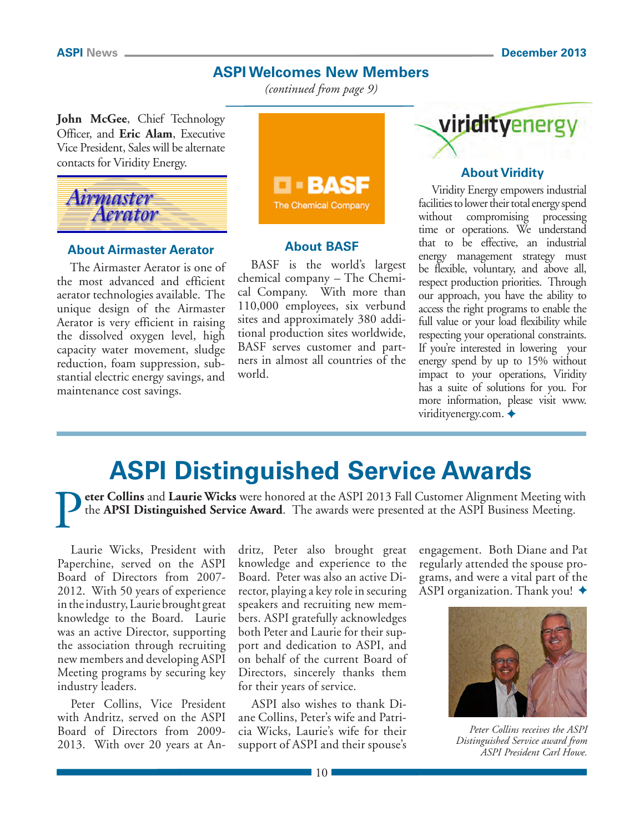### **ASPI Welcomes New Members**

*(continued from page 9)*

**John McGee**, Chief Technology Officer, and **Eric Alam**, Executive Vice President, Sales will be alternate contacts for Viridity Energy.



### **About Airmaster Aerator**

The Airmaster Aerator is one of the most advanced and efficient aerator technologies available. The unique design of the Airmaster Aerator is very efficient in raising the dissolved oxygen level, high capacity water movement, sludge reduction, foam suppression, substantial electric energy savings, and maintenance cost savings.



### **About BASF**

BASF is the world's largest chemical company – The Chemical Company. With more than 110,000 employees, six verbund sites and approximately 380 additional production sites worldwide, BASF serves customer and partners in almost all countries of the world.



### **About Viridity**

Viridity Energy empowers industrial facilities to lower their total energy spend without compromising processing time or operations. We understand that to be effective, an industrial energy management strategy must be flexible, voluntary, and above all, respect production priorities. Through our approach, you have the ability to access the right programs to enable the full value or your load flexibility while respecting your operational constraints. If you're interested in lowering your energy spend by up to 15% without impact to your operations, Viridity has a suite of solutions for you. For more information, please visit [www.](http://www.viridityenergy.com) [viridityenergy.com.](http://www.viridityenergy.com)  $\triangleleft$ 

# **ASPI Distinguished Service Awards**

P**eter Collins** and **Laurie Wicks** were honored at the ASPI 2013 Fall Customer Alignment Meeting with the **APSI Distinguished Service Award**. The awards were presented at the ASPI Business Meeting.

Laurie Wicks, President with Paperchine, served on the ASPI Board of Directors from 2007- 2012. With 50 years of experience in the industry, Laurie brought great knowledge to the Board. Laurie was an active Director, supporting the association through recruiting new members and developing ASPI Meeting programs by securing key industry leaders.

Peter Collins, Vice President with Andritz, served on the ASPI Board of Directors from 2009- 2013. With over 20 years at Andritz, Peter also brought great knowledge and experience to the Board. Peter was also an active Director, playing a key role in securing speakers and recruiting new members. ASPI gratefully acknowledges both Peter and Laurie for their support and dedication to ASPI, and on behalf of the current Board of Directors, sincerely thanks them for their years of service.

ASPI also wishes to thank Diane Collins, Peter's wife and Patricia Wicks, Laurie's wife for their support of ASPI and their spouse's

engagement. Both Diane and Pat regularly attended the spouse programs, and were a vital part of the ASPI organization. Thank you!  $\triangle$ 



*Peter Collins receives the ASPI Distinguished Service award from ASPI President Carl Howe.*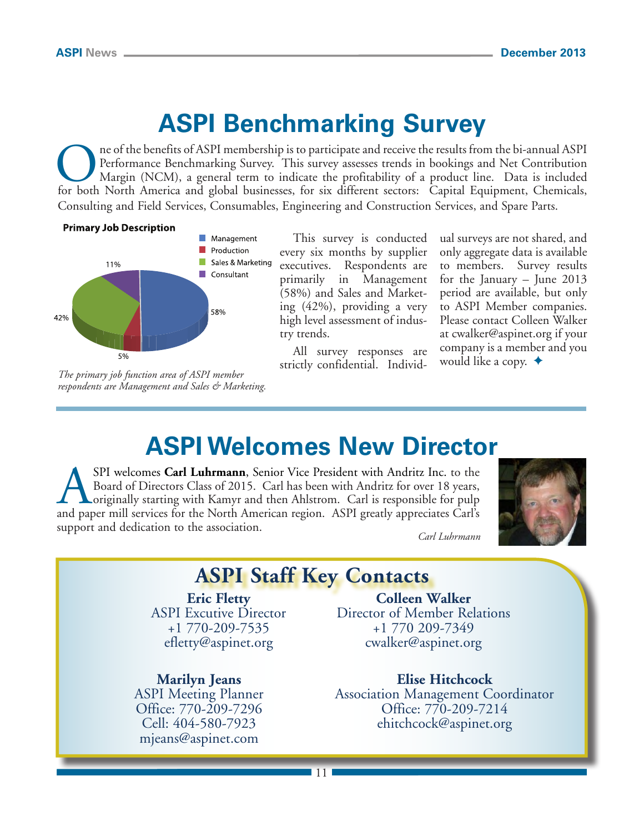# **ASPI Benchmarking Survey**

The of the benefits of ASPI membership is to participate and receive the results from the bi-annual ASPI<br>Performance Benchmarking Survey. This survey assesses trends in bookings and Net Contribution<br>Margin (NCM), a general Performance Benchmarking Survey. This survey assesses trends in bookings and Net Contribution Margin (NCM), a general term to indicate the profitability of a product line. Data is included for both North America and global businesses, for six different sectors: Capital Equipment, Chemicals, Consulting and Field Services, Consumables, Engineering and Construction Services, and Spare Parts.

### **Primary Job Description**



*The primary job function area of ASPI member respondents are Management and Sales & Marketing.* 

This survey is conducted every six months by supplier executives. Respondents are primarily in Management (58%) and Sales and Marketing (42%), providing a very high level assessment of industry trends.

All survey responses are strictly confidential. Individual surveys are not shared, and only aggregate data is available to members. Survey results for the January – June 2013 period are available, but only to ASPI Member companies. Please contact Colleen Walker at [cwalker@aspinet.org if](mailto:cwalker@aspinet.org) your company is a member and you would like a copy.  $\triangleleft$ 

## **ASPI Welcomes New Director**

SPI welcomes Carl Luhrmann, Senior Vice President with Andritz Inc. to the Board of Directors Class of 2015. Carl has been with Andritz for over 18 years, originally starting with Kamyr and then Ahlstrom. Carl is responsible for pulp and paper mill services for the North American region. ASPI greatly appreciates Carl's support and dedication to the association. *Carl Luhrmann*



## **ASPI Staff Key Contacts**

### **Eric Fletty** ASPI Excutive Director +1 770-209-7535 [efletty@aspinet.org](mailto:efletty@aspinet.org)

### **Marilyn Jeans**

ASPI Meeting Planner Office: 770-209-7296 Cell: 404-580-7923 [mjeans@aspinet.com](mailto:mjeans@aspinet.com)

**Colleen Walker** Director of Member Relations +1 770 209-7349 [cwalker@aspinet.org](mailto:cwalker@aspinet.org)

### **Elise Hitchcock** Association Management Coordinator Office: 770-209-7214 [ehitchcock@aspinet.org](mailto:ehitchcock@aspinet.org)

11